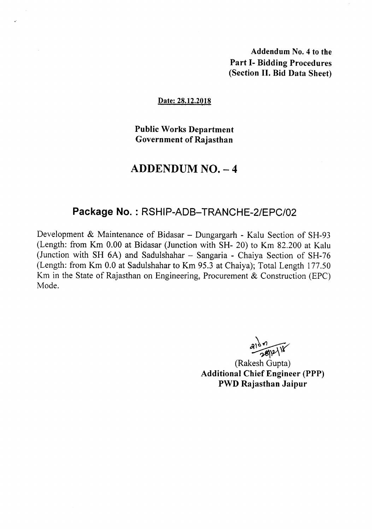Addendum No.4 to the Part 1- Bidding Procedures (Section II. Bid Data Sheet)

#### Date: 28.12.2018

Public Works Department Government of Rajasthan

# ADDENDUM NO. - 4

### Package No. : RSHIP-ADB-TRANCHE-2/EPC/02

Development & Maintenance of Bidasar – Dungargarh - Kalu Section of SH-93 (Length: from Km 0.00 at Bidasar (Junction with SH- 20) to Km 82.200 at Kalu (Junction with SH  $6A$ ) and Sadulshahar  $-$  Sangaria - Chaiya Section of SH-76 (Length: from Km 0.0 at Sadulshahar to Km 95.3 at Chaiya); Total Length 177.50 Km in the State of Rajasthan on Engineering, Procurement & Construction (EPC) Mode.

 $3107$ <br> $-281218$ 

(Rakesh Gupta) Additional Chief Engineer (PPP) PWD Rajasthan Jaipur